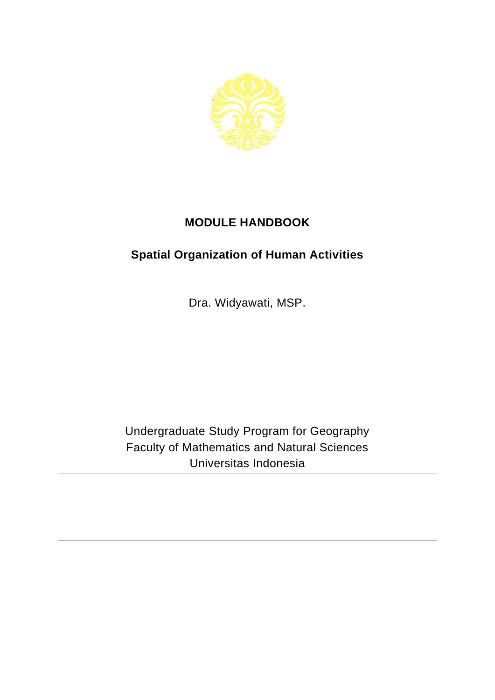

## **MODULE HANDBOOK**

## **Spatial Organization of Human Activities**

Dra. Widyawati, MSP.

Undergraduate Study Program for Geography Faculty of Mathematics and Natural Sciences Universitas Indonesia